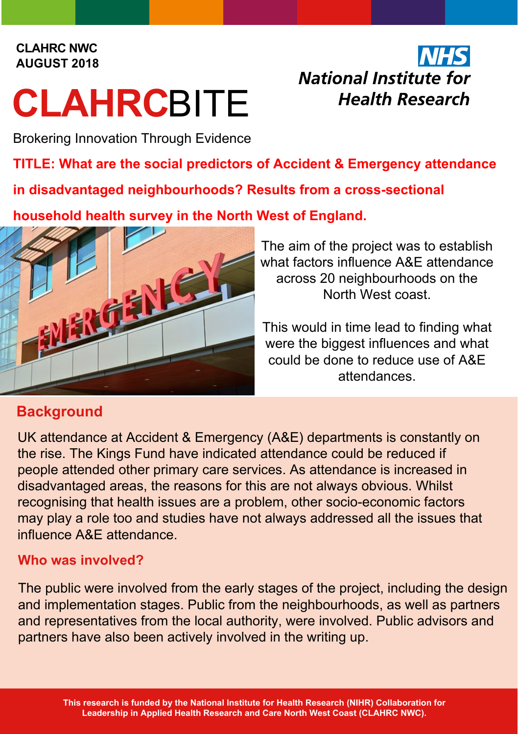#### **CLAHRC NWC AUGUST 2018**

# **CLAHRC**BITE

# National Institute for **Health Research**

Brokering Innovation Through Evidence

# **TITLE: What are the social predictors of Accident & Emergency attendance**

**in disadvantaged neighbourhoods? Results from a cross-sectional** 

**household health survey in the North West of England.** 



The aim of the project was to establish what factors influence A&E attendance across 20 neighbourhoods on the North West coast.

This would in time lead to finding what were the biggest influences and what could be done to reduce use of A&E attendances.

# **Background**

UK attendance at Accident & Emergency (A&E) departments is constantly on the rise. The Kings Fund have indicated attendance could be reduced if people attended other primary care services. As attendance is increased in disadvantaged areas, the reasons for this are not always obvious. Whilst recognising that health issues are a problem, other socio-economic factors may play a role too and studies have not always addressed all the issues that influence A&E attendance.

## **Who was involved?**

The public were involved from the early stages of the project, including the design and implementation stages. Public from the neighbourhoods, as well as partners and representatives from the local authority, were involved. Public advisors and partners have also been actively involved in the writing up.